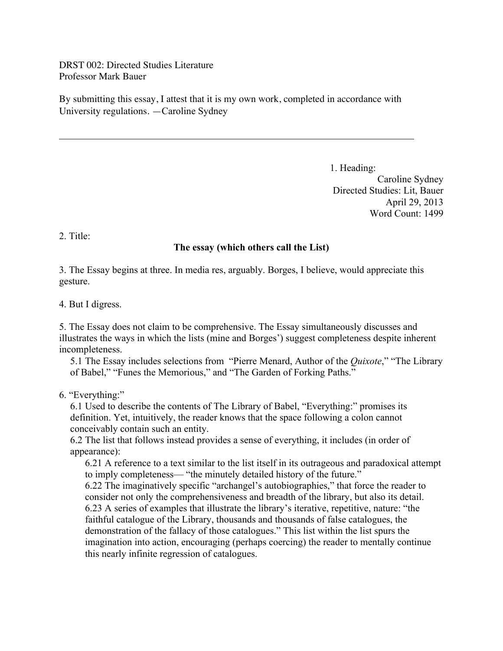DRST 002: Directed Studies Literature Professor Mark Bauer

By submitting this essay, I attest that it is my own work, completed in accordance with University regulations. —Caroline Sydney

> 1. Heading: Caroline Sydney Directed Studies: Lit, Bauer April 29, 2013 Word Count: 1499

2. Title:

# **The essay (which others call the List)**

3. The Essay begins at three. In media res, arguably. Borges, I believe, would appreciate this gesture.

4. But I digress.

5. The Essay does not claim to be comprehensive. The Essay simultaneously discusses and illustrates the ways in which the lists (mine and Borges') suggest completeness despite inherent incompleteness.

5.1 The Essay includes selections from "Pierre Menard, Author of the *Quixote*," "The Library of Babel," "Funes the Memorious," and "The Garden of Forking Paths."

6. "Everything:"

6.1 Used to describe the contents of The Library of Babel, "Everything:" promises its definition. Yet, intuitively, the reader knows that the space following a colon cannot conceivably contain such an entity.

6.2 The list that follows instead provides a sense of everything, it includes (in order of appearance):

6.21 A reference to a text similar to the list itself in its outrageous and paradoxical attempt to imply completeness— "the minutely detailed history of the future."

6.22 The imaginatively specific "archangel's autobiographies," that force the reader to consider not only the comprehensiveness and breadth of the library, but also its detail. 6.23 A series of examples that illustrate the library's iterative, repetitive, nature: "the faithful catalogue of the Library, thousands and thousands of false catalogues, the demonstration of the fallacy of those catalogues." This list within the list spurs the imagination into action, encouraging (perhaps coercing) the reader to mentally continue this nearly infinite regression of catalogues.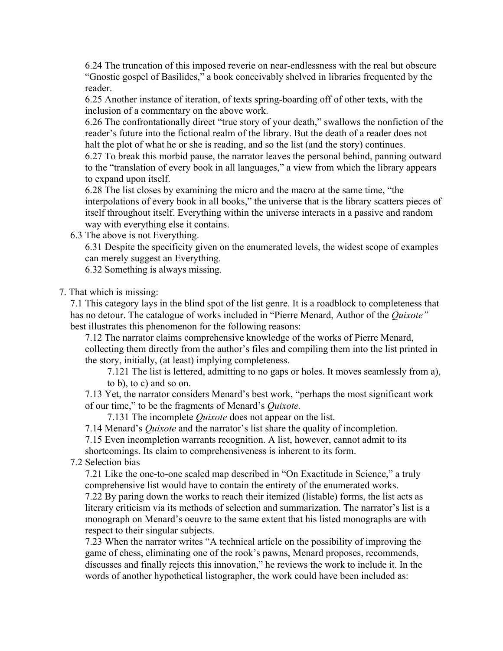6.24 The truncation of this imposed reverie on near-endlessness with the real but obscure "Gnostic gospel of Basilides," a book conceivably shelved in libraries frequented by the reader.

6.25 Another instance of iteration, of texts spring-boarding off of other texts, with the inclusion of a commentary on the above work.

6.26 The confrontationally direct "true story of your death," swallows the nonfiction of the reader's future into the fictional realm of the library. But the death of a reader does not halt the plot of what he or she is reading, and so the list (and the story) continues.

6.27 To break this morbid pause, the narrator leaves the personal behind, panning outward to the "translation of every book in all languages," a view from which the library appears to expand upon itself.

6.28 The list closes by examining the micro and the macro at the same time, "the interpolations of every book in all books," the universe that is the library scatters pieces of itself throughout itself. Everything within the universe interacts in a passive and random way with everything else it contains.

6.3 The above is not Everything.

6.31 Despite the specificity given on the enumerated levels, the widest scope of examples can merely suggest an Everything.

6.32 Something is always missing.

## 7. That which is missing:

7.1 This category lays in the blind spot of the list genre. It is a roadblock to completeness that has no detour. The catalogue of works included in "Pierre Menard, Author of the *Quixote"*  best illustrates this phenomenon for the following reasons:

7.12 The narrator claims comprehensive knowledge of the works of Pierre Menard, collecting them directly from the author's files and compiling them into the list printed in the story, initially, (at least) implying completeness.

7.121 The list is lettered, admitting to no gaps or holes. It moves seamlessly from a), to b), to c) and so on.

7.13 Yet, the narrator considers Menard's best work, "perhaps the most significant work of our time," to be the fragments of Menard's *Quixote.* 

7.131 The incomplete *Quixote* does not appear on the list.

7.14 Menard's *Quixote* and the narrator's list share the quality of incompletion.

7.15 Even incompletion warrants recognition. A list, however, cannot admit to its

shortcomings. Its claim to comprehensiveness is inherent to its form.

7.2 Selection bias

7.21 Like the one-to-one scaled map described in "On Exactitude in Science," a truly comprehensive list would have to contain the entirety of the enumerated works.

7.22 By paring down the works to reach their itemized (listable) forms, the list acts as literary criticism via its methods of selection and summarization. The narrator's list is a monograph on Menard's oeuvre to the same extent that his listed monographs are with respect to their singular subjects.

7.23 When the narrator writes "A technical article on the possibility of improving the game of chess, eliminating one of the rook's pawns, Menard proposes, recommends, discusses and finally rejects this innovation," he reviews the work to include it. In the words of another hypothetical listographer, the work could have been included as: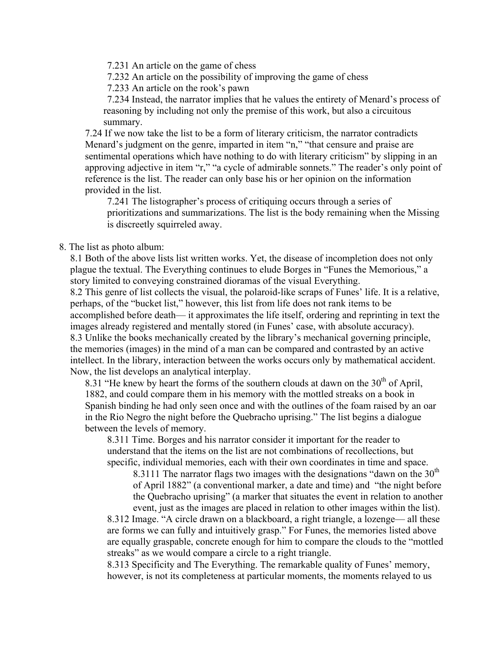7.231 An article on the game of chess

7.232 An article on the possibility of improving the game of chess

7.233 An article on the rook's pawn

7.234 Instead, the narrator implies that he values the entirety of Menard's process of reasoning by including not only the premise of this work, but also a circuitous summary.

7.24 If we now take the list to be a form of literary criticism, the narrator contradicts Menard's judgment on the genre, imparted in item "n," "that censure and praise are sentimental operations which have nothing to do with literary criticism" by slipping in an approving adjective in item "r," "a cycle of admirable sonnets." The reader's only point of reference is the list. The reader can only base his or her opinion on the information provided in the list.

7.241 The listographer's process of critiquing occurs through a series of prioritizations and summarizations. The list is the body remaining when the Missing is discreetly squirreled away.

#### 8. The list as photo album:

8.1 Both of the above lists list written works. Yet, the disease of incompletion does not only plague the textual. The Everything continues to elude Borges in "Funes the Memorious," a story limited to conveying constrained dioramas of the visual Everything.

8.2 This genre of list collects the visual, the polaroid-like scraps of Funes' life. It is a relative, perhaps, of the "bucket list," however, this list from life does not rank items to be accomplished before death— it approximates the life itself, ordering and reprinting in text the images already registered and mentally stored (in Funes' case, with absolute accuracy). 8.3 Unlike the books mechanically created by the library's mechanical governing principle, the memories (images) in the mind of a man can be compared and contrasted by an active intellect. In the library, interaction between the works occurs only by mathematical accident. Now, the list develops an analytical interplay.

8.31 "He knew by heart the forms of the southern clouds at dawn on the  $30<sup>th</sup>$  of April, 1882, and could compare them in his memory with the mottled streaks on a book in Spanish binding he had only seen once and with the outlines of the foam raised by an oar in the Rio Negro the night before the Quebracho uprising." The list begins a dialogue between the levels of memory.

8.311 Time. Borges and his narrator consider it important for the reader to understand that the items on the list are not combinations of recollections, but specific, individual memories, each with their own coordinates in time and space.

8.3111 The narrator flags two images with the designations "dawn on the  $30<sup>th</sup>$ of April 1882" (a conventional marker, a date and time) and "the night before the Quebracho uprising" (a marker that situates the event in relation to another event, just as the images are placed in relation to other images within the list).

8.312 Image. "A circle drawn on a blackboard, a right triangle, a lozenge— all these are forms we can fully and intuitively grasp." For Funes, the memories listed above are equally graspable, concrete enough for him to compare the clouds to the "mottled streaks" as we would compare a circle to a right triangle.

8.313 Specificity and The Everything. The remarkable quality of Funes' memory, however, is not its completeness at particular moments, the moments relayed to us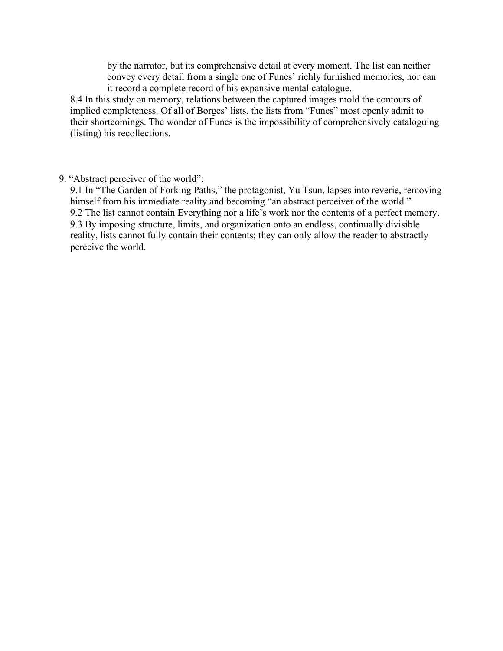by the narrator, but its comprehensive detail at every moment. The list can neither convey every detail from a single one of Funes' richly furnished memories, nor can it record a complete record of his expansive mental catalogue.

8.4 In this study on memory, relations between the captured images mold the contours of implied completeness. Of all of Borges' lists, the lists from "Funes" most openly admit to their shortcomings. The wonder of Funes is the impossibility of comprehensively cataloguing (listing) his recollections.

9. "Abstract perceiver of the world":

9.1 In "The Garden of Forking Paths," the protagonist, Yu Tsun, lapses into reverie, removing himself from his immediate reality and becoming "an abstract perceiver of the world." 9.2 The list cannot contain Everything nor a life's work nor the contents of a perfect memory. 9.3 By imposing structure, limits, and organization onto an endless, continually divisible reality, lists cannot fully contain their contents; they can only allow the reader to abstractly perceive the world.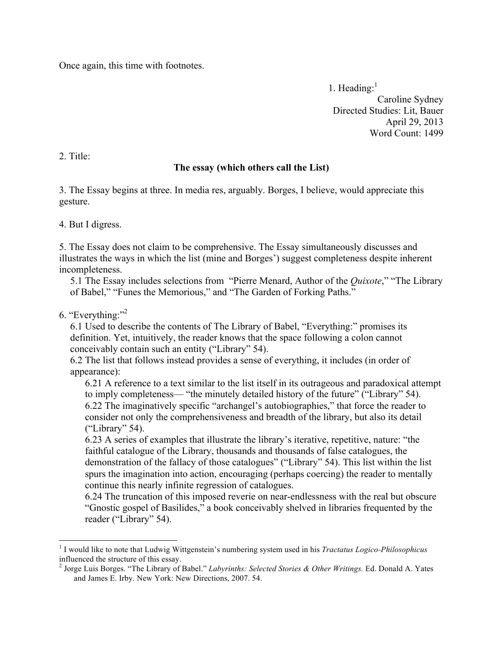Once again, this time with footnotes.

1. Heading: $<sup>1</sup>$ </sup> Caroline Sydney Directed Studies: Lit, Bauer April 29, 2013 Word Count: 1499

2. Title:

#### **The essay (which others call the List)**

3. The Essay begins at three. In media res, arguably. Borges, I believe, would appreciate this gesture.

4. But I digress.

5. The Essay does not claim to be comprehensive. The Essay simultaneously discusses and illustrates the ways in which the list (mine and Borges') suggest completeness despite inherent incompleteness.

5.1 The Essay includes selections from "Pierre Menard, Author of the *Quixote*," "The Library of Babel," "Funes the Memorious," and "The Garden of Forking Paths."

6. "Everything:"2

6.1 Used to describe the contents of The Library of Babel, "Everything:" promises its definition. Yet, intuitively, the reader knows that the space following a colon cannot conceivably contain such an entity ("Library" 54).

6.2 The list that follows instead provides a sense of everything, it includes (in order of appearance):

6.21 A reference to a text similar to the list itself in its outrageous and paradoxical attempt to imply completeness— "the minutely detailed history of the future" ("Library" 54). 6.22 The imaginatively specific "archangel's autobiographies," that force the reader to consider not only the comprehensiveness and breadth of the library, but also its detail ("Library" 54).

6.23 A series of examples that illustrate the library's iterative, repetitive, nature: "the faithful catalogue of the Library, thousands and thousands of false catalogues, the demonstration of the fallacy of those catalogues" ("Library" 54). This list within the list spurs the imagination into action, encouraging (perhaps coercing) the reader to mentally continue this nearly infinite regression of catalogues.

6.24 The truncation of this imposed reverie on near-endlessness with the real but obscure "Gnostic gospel of Basilides," a book conceivably shelved in libraries frequented by the reader ("Library" 54).

 <sup>1</sup> I would like to note that Ludwig Wittgenstein's numbering system used in his *Tractatus Logico-Philosophicus*  influenced the structure of this essay.

<sup>2</sup> Jorge Luis Borges. "The Library of Babel." *Labyrinths: Selected Stories & Other Writings.* Ed. Donald A. Yates and James E. Irby. New York: New Directions, 2007. 54.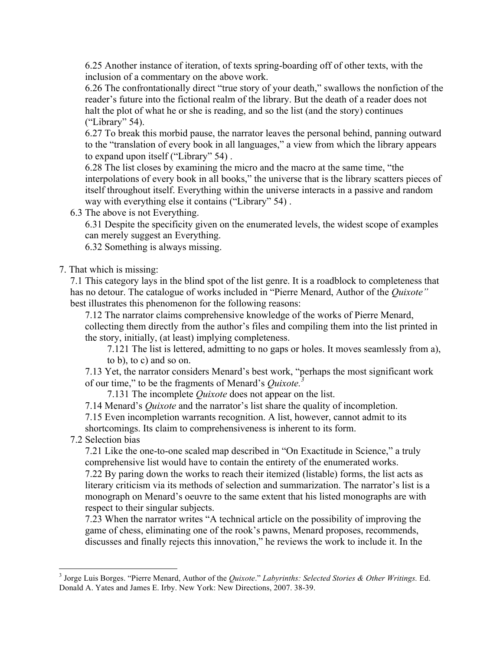6.25 Another instance of iteration, of texts spring-boarding off of other texts, with the inclusion of a commentary on the above work.

6.26 The confrontationally direct "true story of your death," swallows the nonfiction of the reader's future into the fictional realm of the library. But the death of a reader does not halt the plot of what he or she is reading, and so the list (and the story) continues ("Library" 54).

6.27 To break this morbid pause, the narrator leaves the personal behind, panning outward to the "translation of every book in all languages," a view from which the library appears to expand upon itself ("Library" 54) .

6.28 The list closes by examining the micro and the macro at the same time, "the interpolations of every book in all books," the universe that is the library scatters pieces of itself throughout itself. Everything within the universe interacts in a passive and random way with everything else it contains ("Library" 54) .

6.3 The above is not Everything.

6.31 Despite the specificity given on the enumerated levels, the widest scope of examples can merely suggest an Everything.

6.32 Something is always missing.

## 7. That which is missing:

7.1 This category lays in the blind spot of the list genre. It is a roadblock to completeness that has no detour. The catalogue of works included in "Pierre Menard, Author of the *Quixote"*  best illustrates this phenomenon for the following reasons:

7.12 The narrator claims comprehensive knowledge of the works of Pierre Menard, collecting them directly from the author's files and compiling them into the list printed in the story, initially, (at least) implying completeness.

7.121 The list is lettered, admitting to no gaps or holes. It moves seamlessly from a), to b), to c) and so on.

7.13 Yet, the narrator considers Menard's best work, "perhaps the most significant work of our time," to be the fragments of Menard's *Quixote.<sup>3</sup>*

7.131 The incomplete *Quixote* does not appear on the list.

7.14 Menard's *Quixote* and the narrator's list share the quality of incompletion.

7.15 Even incompletion warrants recognition. A list, however, cannot admit to its shortcomings. Its claim to comprehensiveness is inherent to its form.

## 7.2 Selection bias

7.21 Like the one-to-one scaled map described in "On Exactitude in Science," a truly comprehensive list would have to contain the entirety of the enumerated works.

7.22 By paring down the works to reach their itemized (listable) forms, the list acts as literary criticism via its methods of selection and summarization. The narrator's list is a monograph on Menard's oeuvre to the same extent that his listed monographs are with respect to their singular subjects.

7.23 When the narrator writes "A technical article on the possibility of improving the game of chess, eliminating one of the rook's pawns, Menard proposes, recommends, discusses and finally rejects this innovation," he reviews the work to include it. In the

 <sup>3</sup> Jorge Luis Borges. "Pierre Menard, Author of the *Quixote*." *Labyrinths: Selected Stories & Other Writings.* Ed. Donald A. Yates and James E. Irby. New York: New Directions, 2007. 38-39.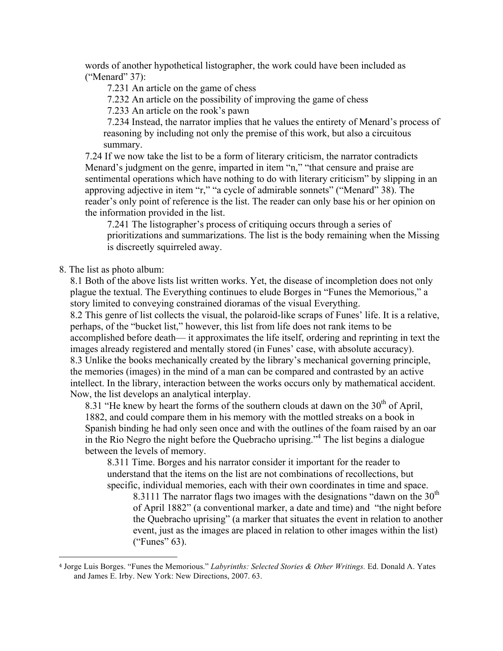words of another hypothetical listographer, the work could have been included as ("Menard" 37):

7.231 An article on the game of chess

7.232 An article on the possibility of improving the game of chess

7.233 An article on the rook's pawn

7.234 Instead, the narrator implies that he values the entirety of Menard's process of reasoning by including not only the premise of this work, but also a circuitous summary.

7.24 If we now take the list to be a form of literary criticism, the narrator contradicts Menard's judgment on the genre, imparted in item "n," "that censure and praise are sentimental operations which have nothing to do with literary criticism" by slipping in an approving adjective in item "r," "a cycle of admirable sonnets" ("Menard" 38). The reader's only point of reference is the list. The reader can only base his or her opinion on the information provided in the list.

7.241 The listographer's process of critiquing occurs through a series of prioritizations and summarizations. The list is the body remaining when the Missing is discreetly squirreled away.

8. The list as photo album:

 

8.1 Both of the above lists list written works. Yet, the disease of incompletion does not only plague the textual. The Everything continues to elude Borges in "Funes the Memorious," a story limited to conveying constrained dioramas of the visual Everything.

8.2 This genre of list collects the visual, the polaroid-like scraps of Funes' life. It is a relative, perhaps, of the "bucket list," however, this list from life does not rank items to be accomplished before death— it approximates the life itself, ordering and reprinting in text the images already registered and mentally stored (in Funes' case, with absolute accuracy). 8.3 Unlike the books mechanically created by the library's mechanical governing principle, the memories (images) in the mind of a man can be compared and contrasted by an active intellect. In the library, interaction between the works occurs only by mathematical accident. Now, the list develops an analytical interplay.

8.31 "He knew by heart the forms of the southern clouds at dawn on the  $30<sup>th</sup>$  of April. 1882, and could compare them in his memory with the mottled streaks on a book in Spanish binding he had only seen once and with the outlines of the foam raised by an oar in the Rio Negro the night before the Quebracho uprising."4 The list begins a dialogue between the levels of memory.

8.311 Time. Borges and his narrator consider it important for the reader to understand that the items on the list are not combinations of recollections, but specific, individual memories, each with their own coordinates in time and space.

8.3111 The narrator flags two images with the designations "dawn on the  $30<sup>th</sup>$ of April 1882" (a conventional marker, a date and time) and "the night before the Quebracho uprising" (a marker that situates the event in relation to another event, just as the images are placed in relation to other images within the list) ("Funes" 63).

<sup>4</sup> Jorge Luis Borges. "Funes the Memorious." *Labyrinths: Selected Stories & Other Writings.* Ed. Donald A. Yates and James E. Irby. New York: New Directions, 2007. 63.